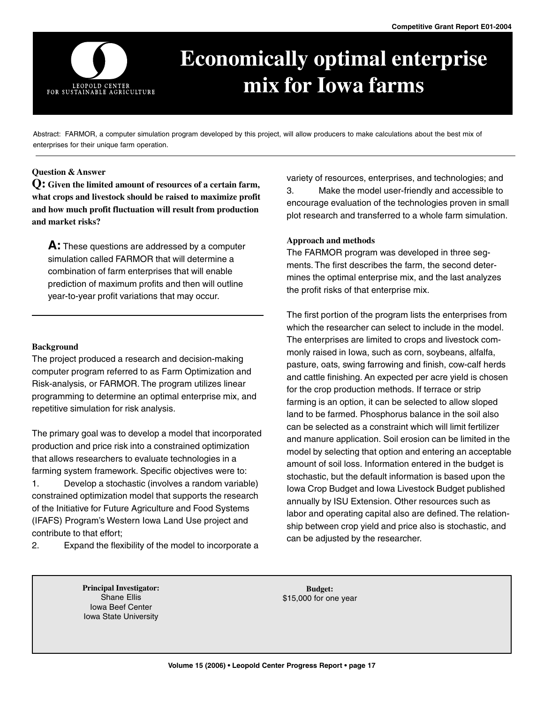

# **Economically optimal enterprise mix for Iowa farms**

Abstract: FARMOR, a computer simulation program developed by this project, will allow producers to make calculations about the best mix of enterprises for their unique farm operation.

#### **Question & Answer**

**Q: Given the limited amount of resources of a certain farm, what crops and livestock should be raised to maximize profit and how much profit fluctuation will result from production and market risks?**

**A:** These questions are addressed by a computer simulation called FARMOR that will determine a combination of farm enterprises that will enable prediction of maximum profits and then will outline year-to-year profit variations that may occur.

## **Background**

The project produced a research and decision-making computer program referred to as Farm Optimization and Risk-analysis, or FARMOR. The program utilizes linear programming to determine an optimal enterprise mix, and repetitive simulation for risk analysis.

The primary goal was to develop a model that incorporated production and price risk into a constrained optimization that allows researchers to evaluate technologies in a farming system framework. Specific objectives were to: 1. Develop a stochastic (involves a random variable) constrained optimization model that supports the research of the Initiative for Future Agriculture and Food Systems (IFAFS) Program's Western Iowa Land Use project and contribute to that effort;

2. Expand the flexibility of the model to incorporate a

variety of resources, enterprises, and technologies; and 3. Make the model user-friendly and accessible to encourage evaluation of the technologies proven in small plot research and transferred to a whole farm simulation.

## **Approach and methods**

The FARMOR program was developed in three segments. The first describes the farm, the second determines the optimal enterprise mix, and the last analyzes the profit risks of that enterprise mix.

The first portion of the program lists the enterprises from which the researcher can select to include in the model. The enterprises are limited to crops and livestock commonly raised in Iowa, such as corn, soybeans, alfalfa, pasture, oats, swing farrowing and finish, cow-calf herds and cattle finishing. An expected per acre yield is chosen for the crop production methods. If terrace or strip farming is an option, it can be selected to allow sloped land to be farmed. Phosphorus balance in the soil also can be selected as a constraint which will limit fertilizer and manure application. Soil erosion can be limited in the model by selecting that option and entering an acceptable amount of soil loss. Information entered in the budget is stochastic, but the default information is based upon the Iowa Crop Budget and Iowa Livestock Budget published annually by ISU Extension. Other resources such as labor and operating capital also are defined. The relationship between crop yield and price also is stochastic, and can be adjusted by the researcher.

**Principal Investigator:** Shane Ellis Iowa Beef Center Iowa State University

**Budget:** \$15,000 for one year